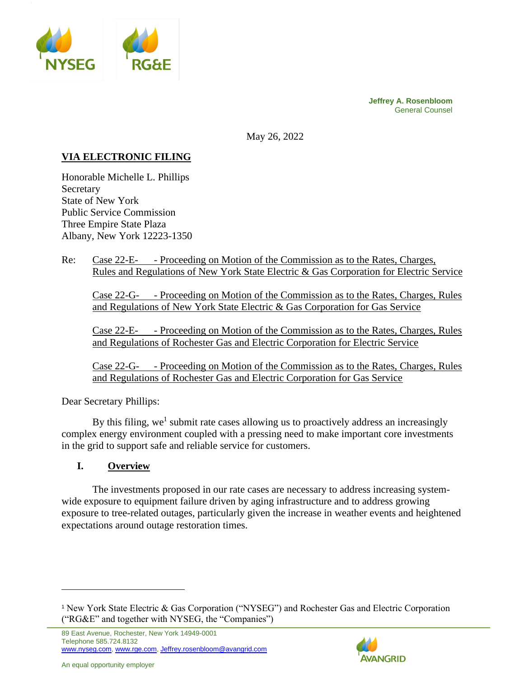

**Jeffrey A. Rosenbloom** General Counsel

May 26, 2022

# **VIA ELECTRONIC FILING**

Honorable Michelle L. Phillips Secretary State of New York Public Service Commission Three Empire State Plaza Albany, New York 12223-1350

Re: Case 22-E- - Proceeding on Motion of the Commission as to the Rates, Charges, Rules and Regulations of New York State Electric & Gas Corporation for Electric Service

Case 22-G- - Proceeding on Motion of the Commission as to the Rates, Charges, Rules and Regulations of New York State Electric & Gas Corporation for Gas Service

Case 22-E- - Proceeding on Motion of the Commission as to the Rates, Charges, Rules and Regulations of Rochester Gas and Electric Corporation for Electric Service

Case 22-G- - Proceeding on Motion of the Commission as to the Rates, Charges, Rules and Regulations of Rochester Gas and Electric Corporation for Gas Service

Dear Secretary Phillips:

By this filing, we<sup>1</sup> submit rate cases allowing us to proactively address an increasingly complex energy environment coupled with a pressing need to make important core investments in the grid to support safe and reliable service for customers.

#### **I. Overview**

The investments proposed in our rate cases are necessary to address increasing systemwide exposure to equipment failure driven by aging infrastructure and to address growing exposure to tree-related outages, particularly given the increase in weather events and heightened expectations around outage restoration times.



<sup>1</sup> New York State Electric & Gas Corporation ("NYSEG") and Rochester Gas and Electric Corporation ("RG&E" and together with NYSEG, the "Companies")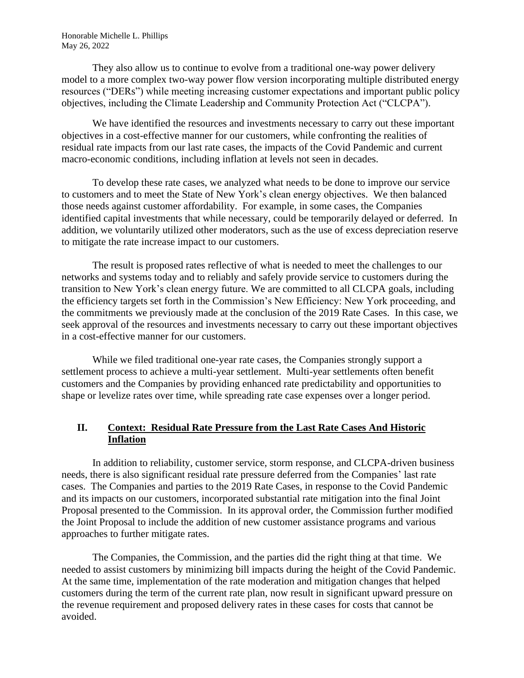They also allow us to continue to evolve from a traditional one-way power delivery model to a more complex two-way power flow version incorporating multiple distributed energy resources ("DERs") while meeting increasing customer expectations and important public policy objectives, including the Climate Leadership and Community Protection Act ("CLCPA").

We have identified the resources and investments necessary to carry out these important objectives in a cost-effective manner for our customers, while confronting the realities of residual rate impacts from our last rate cases, the impacts of the Covid Pandemic and current macro-economic conditions, including inflation at levels not seen in decades.

To develop these rate cases, we analyzed what needs to be done to improve our service to customers and to meet the State of New York's clean energy objectives. We then balanced those needs against customer affordability. For example, in some cases, the Companies identified capital investments that while necessary, could be temporarily delayed or deferred. In addition, we voluntarily utilized other moderators, such as the use of excess depreciation reserve to mitigate the rate increase impact to our customers.

The result is proposed rates reflective of what is needed to meet the challenges to our networks and systems today and to reliably and safely provide service to customers during the transition to New York's clean energy future. We are committed to all CLCPA goals, including the efficiency targets set forth in the Commission's New Efficiency: New York proceeding, and the commitments we previously made at the conclusion of the 2019 Rate Cases. In this case, we seek approval of the resources and investments necessary to carry out these important objectives in a cost-effective manner for our customers.

While we filed traditional one-year rate cases, the Companies strongly support a settlement process to achieve a multi-year settlement. Multi-year settlements often benefit customers and the Companies by providing enhanced rate predictability and opportunities to shape or levelize rates over time, while spreading rate case expenses over a longer period.

#### **II. Context: Residual Rate Pressure from the Last Rate Cases And Historic Inflation**

In addition to reliability, customer service, storm response, and CLCPA-driven business needs, there is also significant residual rate pressure deferred from the Companies' last rate cases. The Companies and parties to the 2019 Rate Cases, in response to the Covid Pandemic and its impacts on our customers, incorporated substantial rate mitigation into the final Joint Proposal presented to the Commission. In its approval order, the Commission further modified the Joint Proposal to include the addition of new customer assistance programs and various approaches to further mitigate rates.

The Companies, the Commission, and the parties did the right thing at that time. We needed to assist customers by minimizing bill impacts during the height of the Covid Pandemic. At the same time, implementation of the rate moderation and mitigation changes that helped customers during the term of the current rate plan, now result in significant upward pressure on the revenue requirement and proposed delivery rates in these cases for costs that cannot be avoided.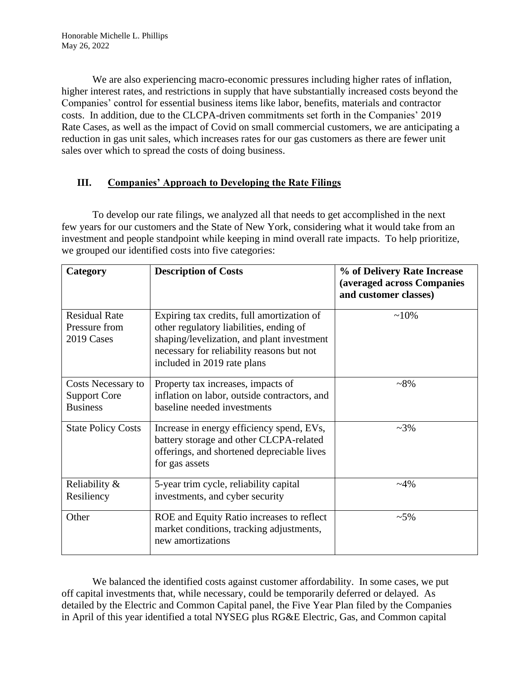We are also experiencing macro-economic pressures including higher rates of inflation, higher interest rates, and restrictions in supply that have substantially increased costs beyond the Companies' control for essential business items like labor, benefits, materials and contractor costs. In addition, due to the CLCPA-driven commitments set forth in the Companies' 2019 Rate Cases, as well as the impact of Covid on small commercial customers, we are anticipating a reduction in gas unit sales, which increases rates for our gas customers as there are fewer unit sales over which to spread the costs of doing business.

# **III. Companies' Approach to Developing the Rate Filings**

To develop our rate filings, we analyzed all that needs to get accomplished in the next few years for our customers and the State of New York, considering what it would take from an investment and people standpoint while keeping in mind overall rate impacts. To help prioritize, we grouped our identified costs into five categories:

| Category                                                     | <b>Description of Costs</b>                                                                                                                                                                                     | % of Delivery Rate Increase<br>(averaged across Companies<br>and customer classes) |
|--------------------------------------------------------------|-----------------------------------------------------------------------------------------------------------------------------------------------------------------------------------------------------------------|------------------------------------------------------------------------------------|
| <b>Residual Rate</b><br>Pressure from<br>2019 Cases          | Expiring tax credits, full amortization of<br>other regulatory liabilities, ending of<br>shaping/levelization, and plant investment<br>necessary for reliability reasons but not<br>included in 2019 rate plans | $~10\%$                                                                            |
| Costs Necessary to<br><b>Support Core</b><br><b>Business</b> | Property tax increases, impacts of<br>inflation on labor, outside contractors, and<br>baseline needed investments                                                                                               | $~18\%$                                                                            |
| <b>State Policy Costs</b>                                    | Increase in energy efficiency spend, EVs,<br>battery storage and other CLCPA-related<br>offerings, and shortened depreciable lives<br>for gas assets                                                            | $~23\%$                                                                            |
| Reliability &<br>Resiliency                                  | 5-year trim cycle, reliability capital<br>investments, and cyber security                                                                                                                                       | $~14\%$                                                                            |
| Other                                                        | ROE and Equity Ratio increases to reflect<br>market conditions, tracking adjustments,<br>new amortizations                                                                                                      | $~1.5\%$                                                                           |

We balanced the identified costs against customer affordability. In some cases, we put off capital investments that, while necessary, could be temporarily deferred or delayed. As detailed by the Electric and Common Capital panel, the Five Year Plan filed by the Companies in April of this year identified a total NYSEG plus RG&E Electric, Gas, and Common capital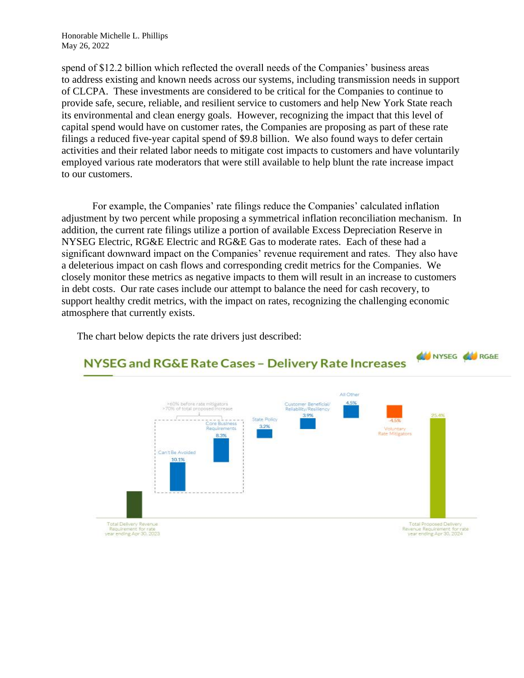spend of \$12.2 billion which reflected the overall needs of the Companies' business areas to address existing and known needs across our systems, including transmission needs in support of CLCPA. These investments are considered to be critical for the Companies to continue to provide safe, secure, reliable, and resilient service to customers and help New York State reach its environmental and clean energy goals. However, recognizing the impact that this level of capital spend would have on customer rates, the Companies are proposing as part of these rate filings a reduced five-year capital spend of \$9.8 billion. We also found ways to defer certain activities and their related labor needs to mitigate cost impacts to customers and have voluntarily employed various rate moderators that were still available to help blunt the rate increase impact to our customers.

For example, the Companies' rate filings reduce the Companies' calculated inflation adjustment by two percent while proposing a symmetrical inflation reconciliation mechanism. In addition, the current rate filings utilize a portion of available Excess Depreciation Reserve in NYSEG Electric, RG&E Electric and RG&E Gas to moderate rates. Each of these had a significant downward impact on the Companies' revenue requirement and rates. They also have a deleterious impact on cash flows and corresponding credit metrics for the Companies. We closely monitor these metrics as negative impacts to them will result in an increase to customers in debt costs. Our rate cases include our attempt to balance the need for cash recovery, to support healthy credit metrics, with the impact on rates, recognizing the challenging economic atmosphere that currently exists.

The chart below depicts the rate drivers just described:

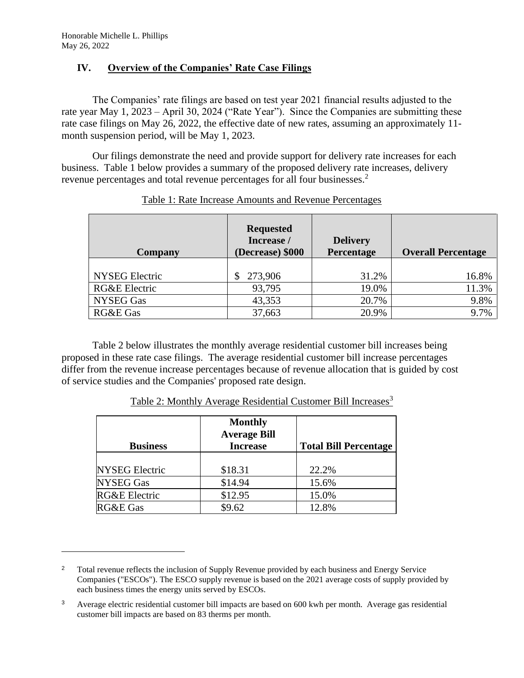#### **IV. Overview of the Companies' Rate Case Filings**

The Companies' rate filings are based on test year 2021 financial results adjusted to the rate year May 1, 2023 – April 30, 2024 ("Rate Year"). Since the Companies are submitting these rate case filings on May 26, 2022, the effective date of new rates, assuming an approximately 11 month suspension period, will be May 1, 2023.

Our filings demonstrate the need and provide support for delivery rate increases for each business. Table 1 below provides a summary of the proposed delivery rate increases, delivery revenue percentages and total revenue percentages for all four businesses.<sup>2</sup>

| <b>Company</b>        | <b>Requested</b><br>Increase /<br>(Decrease) \$000 | <b>Delivery</b><br>Percentage | <b>Overall Percentage</b> |
|-----------------------|----------------------------------------------------|-------------------------------|---------------------------|
|                       |                                                    |                               |                           |
| <b>NYSEG</b> Electric | 273,906<br><sup>S</sup>                            | 31.2%                         | 16.8%                     |
| RG&E Electric         | 93,795                                             | 19.0%                         | 11.3%                     |
| NYSEG Gas             | 43,353                                             | 20.7%                         | 9.8%                      |
| RG&E Gas              | 37,663                                             | 20.9%                         | 9.7%                      |

Table 1: Rate Increase Amounts and Revenue Percentages

Table 2 below illustrates the monthly average residential customer bill increases being proposed in these rate case filings. The average residential customer bill increase percentages differ from the revenue increase percentages because of revenue allocation that is guided by cost of service studies and the Companies' proposed rate design.

| <b>Business</b>          | <b>Monthly</b><br><b>Average Bill</b><br><b>Increase</b> | <b>Total Bill Percentage</b> |
|--------------------------|----------------------------------------------------------|------------------------------|
|                          |                                                          |                              |
| <b>NYSEG Electric</b>    | \$18.31                                                  | 22.2%                        |
| NYSEG Gas                | \$14.94                                                  | 15.6%                        |
| <b>RG&amp;E</b> Electric | \$12.95                                                  | 15.0%                        |
| <b>RG&amp;E Gas</b>      | \$9.62                                                   | 12.8%                        |

Table 2: Monthly Average Residential Customer Bill Increases<sup>3</sup>

<sup>&</sup>lt;sup>2</sup> Total revenue reflects the inclusion of Supply Revenue provided by each business and Energy Service Companies ("ESCOs"). The ESCO supply revenue is based on the 2021 average costs of supply provided by each business times the energy units served by ESCOs.

<sup>3</sup> Average electric residential customer bill impacts are based on 600 kwh per month. Average gas residential customer bill impacts are based on 83 therms per month.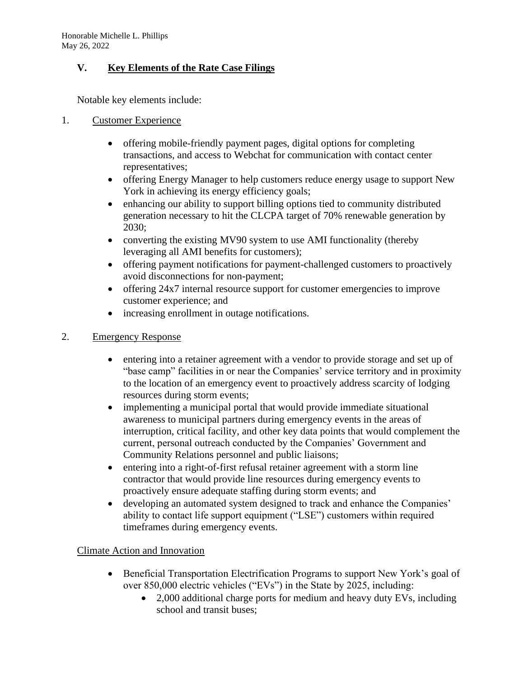# **V. Key Elements of the Rate Case Filings**

Notable key elements include:

### 1. Customer Experience

- offering mobile-friendly payment pages, digital options for completing transactions, and access to Webchat for communication with contact center representatives;
- offering Energy Manager to help customers reduce energy usage to support New York in achieving its energy efficiency goals;
- enhancing our ability to support billing options tied to community distributed generation necessary to hit the CLCPA target of 70% renewable generation by 2030;
- converting the existing MV90 system to use AMI functionality (thereby leveraging all AMI benefits for customers);
- offering payment notifications for payment-challenged customers to proactively avoid disconnections for non-payment;
- offering 24x7 internal resource support for customer emergencies to improve customer experience; and
- increasing enrollment in outage notifications.

# 2. Emergency Response

- entering into a retainer agreement with a vendor to provide storage and set up of "base camp" facilities in or near the Companies' service territory and in proximity to the location of an emergency event to proactively address scarcity of lodging resources during storm events;
- implementing a municipal portal that would provide immediate situational awareness to municipal partners during emergency events in the areas of interruption, critical facility, and other key data points that would complement the current, personal outreach conducted by the Companies' Government and Community Relations personnel and public liaisons;
- entering into a right-of-first refusal retainer agreement with a storm line contractor that would provide line resources during emergency events to proactively ensure adequate staffing during storm events; and
- developing an automated system designed to track and enhance the Companies' ability to contact life support equipment ("LSE") customers within required timeframes during emergency events.

# Climate Action and Innovation

- Beneficial Transportation Electrification Programs to support New York's goal of over 850,000 electric vehicles ("EVs") in the State by 2025, including:
	- 2,000 additional charge ports for medium and heavy duty EVs, including school and transit buses;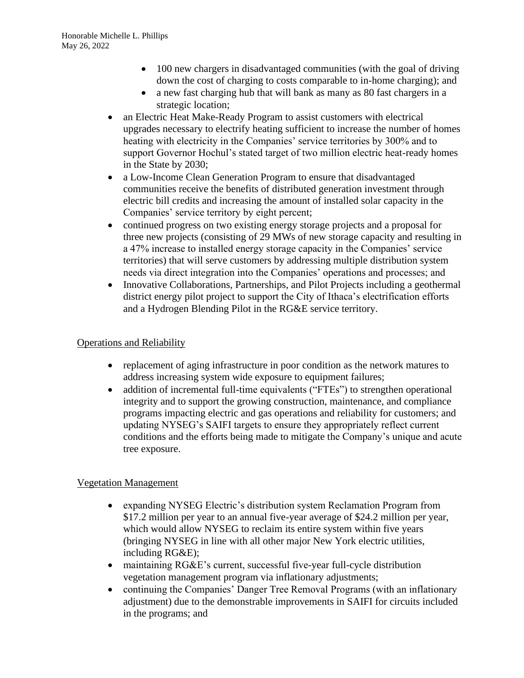- 100 new chargers in disadvantaged communities (with the goal of driving down the cost of charging to costs comparable to in-home charging); and
- a new fast charging hub that will bank as many as 80 fast chargers in a strategic location;
- an Electric Heat Make-Ready Program to assist customers with electrical upgrades necessary to electrify heating sufficient to increase the number of homes heating with electricity in the Companies' service territories by 300% and to support Governor Hochul's stated target of two million electric heat-ready homes in the State by 2030;
- a Low-Income Clean Generation Program to ensure that disadvantaged communities receive the benefits of distributed generation investment through electric bill credits and increasing the amount of installed solar capacity in the Companies' service territory by eight percent;
- continued progress on two existing energy storage projects and a proposal for three new projects (consisting of 29 MWs of new storage capacity and resulting in a 47% increase to installed energy storage capacity in the Companies' service territories) that will serve customers by addressing multiple distribution system needs via direct integration into the Companies' operations and processes; and
- Innovative Collaborations, Partnerships, and Pilot Projects including a geothermal district energy pilot project to support the City of Ithaca's electrification efforts and a Hydrogen Blending Pilot in the RG&E service territory.

### Operations and Reliability

- replacement of aging infrastructure in poor condition as the network matures to address increasing system wide exposure to equipment failures;
- addition of incremental full-time equivalents ("FTEs") to strengthen operational integrity and to support the growing construction, maintenance, and compliance programs impacting electric and gas operations and reliability for customers; and updating NYSEG's SAIFI targets to ensure they appropriately reflect current conditions and the efforts being made to mitigate the Company's unique and acute tree exposure.

#### Vegetation Management

- expanding NYSEG Electric's distribution system Reclamation Program from \$17.2 million per year to an annual five-year average of \$24.2 million per year, which would allow NYSEG to reclaim its entire system within five years (bringing NYSEG in line with all other major New York electric utilities, including RG&E);
- maintaining RG&E's current, successful five-year full-cycle distribution vegetation management program via inflationary adjustments;
- continuing the Companies' Danger Tree Removal Programs (with an inflationary adjustment) due to the demonstrable improvements in SAIFI for circuits included in the programs; and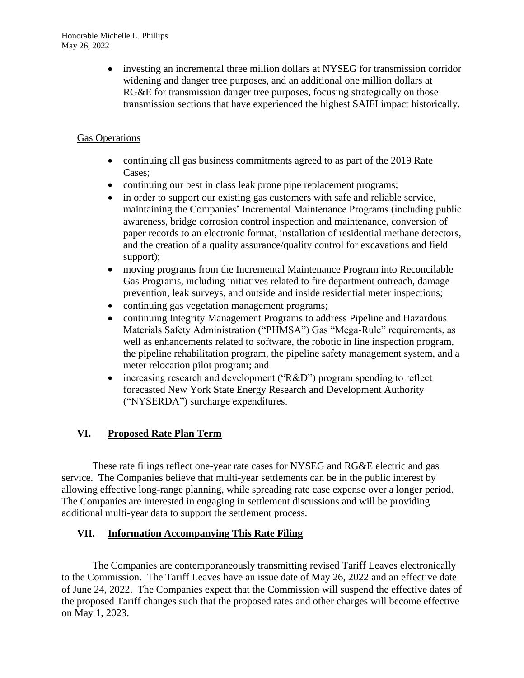• investing an incremental three million dollars at NYSEG for transmission corridor widening and danger tree purposes, and an additional one million dollars at RG&E for transmission danger tree purposes, focusing strategically on those transmission sections that have experienced the highest SAIFI impact historically.

# Gas Operations

- continuing all gas business commitments agreed to as part of the 2019 Rate Cases;
- continuing our best in class leak prone pipe replacement programs;
- in order to support our existing gas customers with safe and reliable service, maintaining the Companies' Incremental Maintenance Programs (including public awareness, bridge corrosion control inspection and maintenance, conversion of paper records to an electronic format, installation of residential methane detectors, and the creation of a quality assurance/quality control for excavations and field support);
- moving programs from the Incremental Maintenance Program into Reconcilable Gas Programs, including initiatives related to fire department outreach, damage prevention, leak surveys, and outside and inside residential meter inspections;
- continuing gas vegetation management programs;
- continuing Integrity Management Programs to address Pipeline and Hazardous Materials Safety Administration ("PHMSA") Gas "Mega-Rule" requirements, as well as enhancements related to software, the robotic in line inspection program, the pipeline rehabilitation program, the pipeline safety management system, and a meter relocation pilot program; and
- increasing research and development ("R&D") program spending to reflect forecasted New York State Energy Research and Development Authority ("NYSERDA") surcharge expenditures.

# **VI. Proposed Rate Plan Term**

These rate filings reflect one-year rate cases for NYSEG and RG&E electric and gas service. The Companies believe that multi-year settlements can be in the public interest by allowing effective long-range planning, while spreading rate case expense over a longer period. The Companies are interested in engaging in settlement discussions and will be providing additional multi-year data to support the settlement process.

# **VII. Information Accompanying This Rate Filing**

The Companies are contemporaneously transmitting revised Tariff Leaves electronically to the Commission. The Tariff Leaves have an issue date of May 26, 2022 and an effective date of June 24, 2022. The Companies expect that the Commission will suspend the effective dates of the proposed Tariff changes such that the proposed rates and other charges will become effective on May 1, 2023.